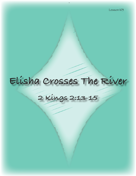# **Elisha Crosses The River**

# **2 Kings 2:13-15**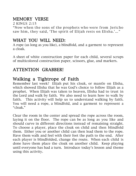### MEMORY VERSE

2 KINGS 2:15 "Now when the sons of the prophets who were from Jericho saw him, they said, 'The spirit of Elijah rests on Elisha.'…"

#### WHAT YOU WILL NEED:

A rope (as long as you like), a blindfold, and a garment to represent a cloak.

A sheet of white construction paper for each child, several scraps of multicolored construction paper, scissors, glue, and markers.

## ATTENTION GRABBER!

#### Walking a Tightrope of Faith

Remember last week? Elijah put his cloak, or mantle on Elisha, which showed Elisha that he was God's choice to follow Elijah as a prophet. When Elijah was taken to heaven, Elisha had to trust in the Lord and walk by faith. We also need to learn how to walk by faith. This activity will help us to understand walking by faith. You will need a rope, a blindfold, and a garment to represent a "cloak."

Clear the room in the center and spread the rope across the room, laying it on the floor. The rope can be as long as you like and should curve in different directions instead of remaining straight. To choose a player, place the cloak on child and then blindfold them. Either you or another child can then lead them to the rope. Have them walk and feel with their feet the path to the end. After each player is blindfolded, change the route. When each child is done have them place the cloak on another child. Keep playing until everyone has had a turn. Introduce today's lesson and theme using this activity.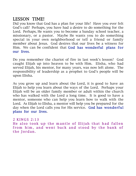#### LESSON TIME!

Did you know that God has a plan for your life? Have you ever felt God's call? Perhaps, you have had a desire to do something for the Lord. Perhaps, He wants you to become a Sunday school teacher, a missionary, or a pastor. Maybe He wants you to do something special in your own neighborhood or tell a friend or family member about Jesus. God desires that our lives be a witness for Him. We can be confident that God has wonderful plans for our lives.

Do you remember the chariot of fire in last week's lesson? God caught Elijah up into heaven to be with Him. Elisha, who had served Elijah, his mentor, for many years, was now left alone. The responsibility of leadership as a prophet to God's people will be upon Elisha.

As you grow up and learn about the Lord, it is good to have an Elijah to help you learn about the ways of the Lord. Perhaps your Elijah will be an older family member or adult within the church who has walked with the Lord a long time. It is good to have a mentor, someone who can help you learn how to walk with the Lord. As Elijah to Elisha, a mentor will help you be prepared for the day when the Lord calls you for His service. God has wonderful plans for our lives.

2 KINGS 2:13 He also took up the mantle of Elijah that had fallen from him, and went back and stood by the bank of the Jordan.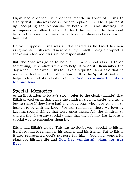Elijah had dropped his prophet's mantle in front of Elisha to signify that Elisha was God's choice to replace him. Elisha picked it up, accepting the responsibility before him and showing his willingness to follow God and to lead the people. He then went back to the river, not sure of what to do or where God was leading him next.

Do you suppose Elisha was a little scared as he faced his new assignment? Elisha would now be all by himself. Being a prophet, a spokesman for God, was a huge responsibility.

But, the Lord was going to help him. When God asks us to do something, He is always there to help us to do it. Remember the day when Elijah asked Elisha to make a request? Elisha said that he wanted a double portion of the Spirit. It is the Spirit of God who helps us to do what God asks us to do. God has wonderful plans for our lives.

#### Special Memories

As an illustration to today's story, refer to the cloak (mantle) that Elijah placed on Elisha. Have the children sit in a circle and ask a few to share if they have had any loved ones who have gone on to heaven to be with the Lord. We can remember those we love by keeping special things that were once theirs. Ask the children to share if they have any special things that their family has kept as a special way to remember them by.

Elisha had Elijah's cloak. This was no doubt very special to Elisha. It helped him to remember his teacher and his friend. But to Elisha it also represented God's purpose for him. God had wonderful plans for Elisha's life and God has wonderful plans for our lives.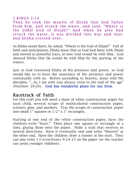#### 2 KINGS 2:14

Then he took the mantle of Elijah that had fallen from him, and struck the water, and said, "Where is the LORD God of Elijah?" And when he also had struck the water, it was divided this way and that; and Elisha crossed over.

As Elisha stood there, he asked, "Where is the God of Elijah?" Full of faith and anticipation, Elisha knew that as God had been with Elijah and moved in powerful ways, so now God would be with Him. God showed Elisha that He would be with Him by the parting of the waters.

Just as God reassured Elisha of His presence and power, so God would like us to have the assurance of His presence and power continually with us. Before ascending to heaven, Jesus told His disciples, "…lo, I am with you always, even to the end of the age" (Matthew 28:20). God has wonderful plans for our lives.

#### Racetrack of Faith

For this craft you will need a sheet of white construction paper for each child, several scraps of multicolored construction paper, scissors, glue, and markers. Tear the scraps of construction paper into small 1" squares or 1/2" x 1" rectangles.

Starting at one end of the white construction paper, have the children write "Start." Then place one square or rectangle at a time, gluing them onto the paper. Make a trail that swerves in several directions. Have it eventually end and write "Heaven" at the other end. Have the children draw a runner at the start. They can also write 1 Corinthians 9:24-25 on the paper (or the teacher can assist younger children).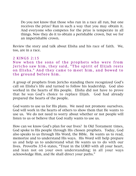Do you not know that those who run in a race all run, but one receives the prize? Run in such a way that you may obtain it. And everyone who competes for the prize is temperate in all things. Now they do it to obtain a perishable crown, but we for an imperishable crown.

Review the story and talk about Elisha and his race of faith. We, too, are in a race.

#### 2 KINGS 2:15

Now when the sons of the prophets who were from Jericho saw him, they said, "The spirit of Elijah rests on Elisha." And they came to meet him, and bowed to the ground before him.

A group of prophets from Jericho standing there recognized God's call on Elisha's life and turned to follow his leadership. God also worked in the hearts of His people. Elisha did not have to prove that he was God's choice to replace Elijah. God had already prepared the hearts of the people.

God wants to use us for His plans. We need not promote ourselves. God will work in the hearts of others to show them that He wants to use us. We do not need to worry about whether or not people will listen to us or believe that God really wants to use us.

How can we know God's plan for our lives? In Old Testament times, God spoke to His people through His chosen prophets. Today, God also speaks to us through His Word, the Bible. He wants us to read, memorize and to understand His ways. His Word will help prepare us and help us to understand what He wants us to do with our lives. Proverbs 3:5-6 states, "Trust in the LORD with all your heart, and lean not on your own understanding; in all your ways acknowledge Him, and He shall direct your paths."